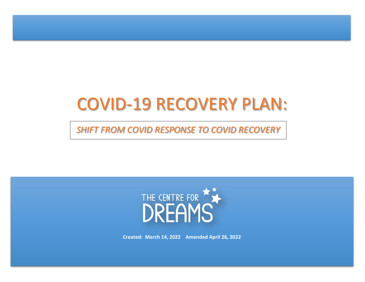# COVID-19 RECOVERY PLAN:

*SHIFT FROM COVID RESPONSE TO COVID RECOVERY*



**Created: March 14, 2022 Amended April 26, 2022**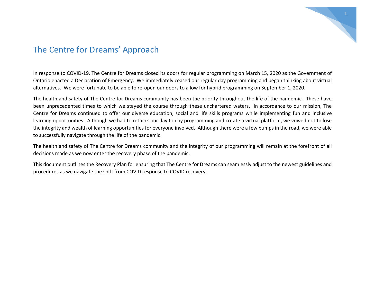

## The Centre for Dreams' Approach

In response to COVID-19, The Centre for Dreams closed its doors for regular programming on March 15, 2020 as the Government of Ontario enacted a Declaration of Emergency. We immediately ceased our regular day programming and began thinking about virtual alternatives. We were fortunate to be able to re-open our doors to allow for hybrid programming on September 1, 2020.

The health and safety of The Centre for Dreams community has been the priority throughout the life of the pandemic. These have been unprecedented times to which we stayed the course through these unchartered waters. In accordance to our mission, The Centre for Dreams continued to offer our diverse education, social and life skills programs while implementing fun and inclusive learning opportunities. Although we had to rethink our day to day programming and create a virtual platform, we vowed not to lose the integrity and wealth of learning opportunities for everyone involved. Although there were a few bumps in the road, we were able to successfully navigate through the life of the pandemic.

The health and safety of The Centre for Dreams community and the integrity of our programming will remain at the forefront of all decisions made as we now enter the recovery phase of the pandemic.

This document outlines the Recovery Plan for ensuring that The Centre for Dreams can seamlessly adjust to the newest guidelines and procedures as we navigate the shift from COVID response to COVID recovery.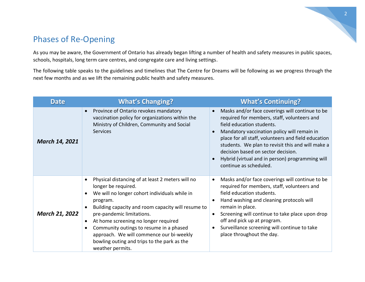## Phases of Re-Opening

As you may be aware, the Government of Ontario has already began lifting a number of health and safety measures in public spaces, schools, hospitals, long term care centres, and congregate care and living settings.

The following table speaks to the guidelines and timelines that The Centre for Dreams will be following as we progress through the next few months and as we lift the remaining public health and safety measures.

| <b>Date</b>           | <b>What's Changing?</b>                                                                                                                                                                                                                                                                                                                                                                                                   | <b>What's Continuing?</b>                                                                                                                                                                                                                                                                                                                                                                                 |
|-----------------------|---------------------------------------------------------------------------------------------------------------------------------------------------------------------------------------------------------------------------------------------------------------------------------------------------------------------------------------------------------------------------------------------------------------------------|-----------------------------------------------------------------------------------------------------------------------------------------------------------------------------------------------------------------------------------------------------------------------------------------------------------------------------------------------------------------------------------------------------------|
| <b>March 14, 2021</b> | Province of Ontario revokes mandatory<br>vaccination policy for organizations within the<br>Ministry of Children, Community and Social<br><b>Services</b>                                                                                                                                                                                                                                                                 | Masks and/or face coverings will continue to be<br>required for members, staff, volunteers and<br>field education students.<br>Mandatory vaccination policy will remain in<br>place for all staff, volunteers and field education<br>students. We plan to revisit this and will make a<br>decision based on sector decision.<br>Hybrid (virtual and in person) programming will<br>continue as scheduled. |
| <b>March 21, 2022</b> | Physical distancing of at least 2 meters will no<br>longer be required.<br>We will no longer cohort individuals while in<br>program.<br>Building capacity and room capacity will resume to<br>pre-pandemic limitations.<br>At home screening no longer required<br>Community outings to resume in a phased<br>approach. We will commence our bi-weekly<br>bowling outing and trips to the park as the<br>weather permits. | Masks and/or face coverings will continue to be<br>required for members, staff, volunteers and<br>field education students.<br>Hand washing and cleaning protocols will<br>remain in place.<br>Screening will continue to take place upon drop<br>off and pick up at program.<br>Surveillance screening will continue to take<br>place throughout the day.                                                |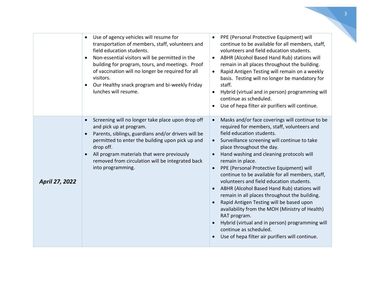|                       | Use of agency vehicles will resume for<br>$\bullet$<br>transportation of members, staff, volunteers and<br>field education students.<br>Non-essential visitors will be permitted in the<br>$\bullet$<br>building for program, tours, and meetings. Proof<br>of vaccination will no longer be required for all<br>visitors.<br>Our Healthy snack program and bi-weekly Friday<br>lunches will resume. | PPE (Personal Protective Equipment) will<br>continue to be available for all members, staff,<br>volunteers and field education students.<br>ABHR (Alcohol Based Hand Rub) stations will<br>remain in all places throughout the building.<br>Rapid Antigen Testing will remain on a weekly<br>$\bullet$<br>basis. Testing will no longer be mandatory for<br>staff.<br>Hybrid (virtual and in person) programming will<br>continue as scheduled.<br>Use of hepa filter air purifiers will continue.                                                                                                                                                                                                                                                                              |
|-----------------------|------------------------------------------------------------------------------------------------------------------------------------------------------------------------------------------------------------------------------------------------------------------------------------------------------------------------------------------------------------------------------------------------------|---------------------------------------------------------------------------------------------------------------------------------------------------------------------------------------------------------------------------------------------------------------------------------------------------------------------------------------------------------------------------------------------------------------------------------------------------------------------------------------------------------------------------------------------------------------------------------------------------------------------------------------------------------------------------------------------------------------------------------------------------------------------------------|
| <b>April 27, 2022</b> | Screening will no longer take place upon drop off<br>and pick up at program.<br>Parents, siblings, guardians and/or drivers will be<br>permitted to enter the building upon pick up and<br>drop off.<br>All program materials that were previously<br>removed from circulation will be integrated back<br>into programming.                                                                          | Masks and/or face coverings will continue to be<br>required for members, staff, volunteers and<br>field education students.<br>Surveillance screening will continue to take<br>$\bullet$<br>place throughout the day.<br>Hand washing and cleaning protocols will<br>remain in place.<br>PPE (Personal Protective Equipment) will<br>continue to be available for all members, staff,<br>volunteers and field education students.<br>ABHR (Alcohol Based Hand Rub) stations will<br>remain in all places throughout the building.<br>Rapid Antigen Testing will be based upon<br>availability from the MOH (Ministry of Health)<br>RAT program.<br>Hybrid (virtual and in person) programming will<br>continue as scheduled.<br>Use of hepa filter air purifiers will continue. |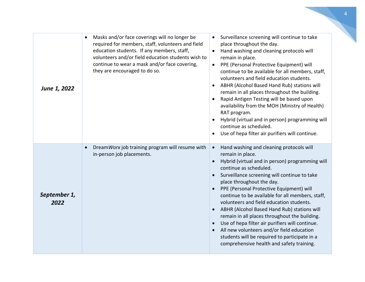| June 1, 2022         | Masks and/or face coverings will no longer be<br>required for members, staff, volunteers and field<br>education students. If any members, staff,<br>volunteers and/or field education students wish to<br>continue to wear a mask and/or face covering,<br>they are encouraged to do so. | Surveillance screening will continue to take<br>place throughout the day.<br>Hand washing and cleaning protocols will<br>$\bullet$<br>remain in place.<br>PPE (Personal Protective Equipment) will<br>continue to be available for all members, staff,<br>volunteers and field education students.<br>ABHR (Alcohol Based Hand Rub) stations will<br>remain in all places throughout the building.<br>Rapid Antigen Testing will be based upon<br>availability from the MOH (Ministry of Health)<br>RAT program.<br>Hybrid (virtual and in person) programming will<br>continue as scheduled.<br>Use of hepa filter air purifiers will continue.                                           |
|----------------------|------------------------------------------------------------------------------------------------------------------------------------------------------------------------------------------------------------------------------------------------------------------------------------------|--------------------------------------------------------------------------------------------------------------------------------------------------------------------------------------------------------------------------------------------------------------------------------------------------------------------------------------------------------------------------------------------------------------------------------------------------------------------------------------------------------------------------------------------------------------------------------------------------------------------------------------------------------------------------------------------|
| September 1,<br>2022 | DreamWorx job training program will resume with<br>in-person job placements.                                                                                                                                                                                                             | Hand washing and cleaning protocols will<br>$\bullet$<br>remain in place.<br>Hybrid (virtual and in person) programming will<br>$\bullet$<br>continue as scheduled.<br>Surveillance screening will continue to take<br>place throughout the day.<br>PPE (Personal Protective Equipment) will<br>continue to be available for all members, staff,<br>volunteers and field education students.<br>ABHR (Alcohol Based Hand Rub) stations will<br>remain in all places throughout the building.<br>Use of hepa filter air purifiers will continue.<br>All new volunteers and/or field education<br>students will be required to participate in a<br>comprehensive health and safety training. |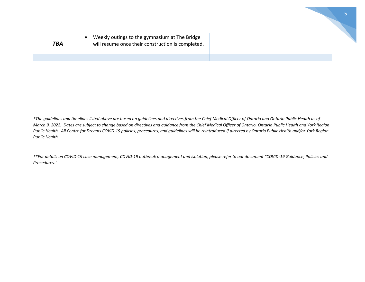| <b>TBA</b> | Weekly outings to the gymnasium at The Bridge<br>will resume once their construction is completed. |  |
|------------|----------------------------------------------------------------------------------------------------|--|
|            |                                                                                                    |  |

*\*The guidelines and timelines listed above are based on guidelines and directives from the Chief Medical Officer of Ontario and Ontario Public Health as of March 9, 2022. Dates are subject to change based on directives and guidance from the Chief Medical Officer of Ontario, Ontario Public Health and York Region Public Health. All Centre for Dreams COVID-19 policies, procedures, and guidelines will be reintroduced if directed by Ontario Public Health and/or York Region Public Health.* 

*\*\*For details on COVID-19 case management, COVID-19 outbreak management and isolation, please refer to our document "COVID-19 Guidance, Policies and Procedures."*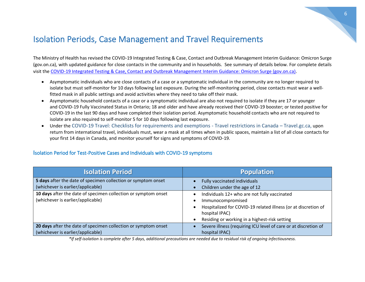## Isolation Periods, Case Management and Travel Requirements

The Ministry of Health has revised the [COVID-19 Integrated Testing & Case, Contact and Outbreak Management Interim Guidance: Omicron Surge](https://countrycasa.us18.list-manage.com/track/click?u=6e26fdf4094f59121f337d5f4&id=909395bb47&e=e8f17a32ce)  [\(gov.on.ca\),](https://countrycasa.us18.list-manage.com/track/click?u=6e26fdf4094f59121f337d5f4&id=909395bb47&e=e8f17a32ce) with updated guidance for close contacts in the community and in households. See summary of details below. For complete details visit the [COVID-19 Integrated Testing & Case, Contact and Outbreak Management Interim Guidance: Omicron Surge \(gov.on.ca\).](https://www.health.gov.on.ca/en/pro/programs/publichealth/coronavirus/docs/contact_mngmt/management_cases_contacts_omicron.pdf)

- Asymptomatic individuals who are close contacts of a case or a symptomatic individual in the community are no longer required to isolate but must self-monitor for 10 days following last exposure. During the self-monitoring period, close contacts must wear a wellfitted mask in all public settings and avoid activities where they need to take off their mask.
- Asymptomatic household contacts of a case or a symptomatic individual are also not required to isolate if they are 17 or younger and [COVID-19 Fully Vaccinated Status in Ontario;](https://countrycasa.us18.list-manage.com/track/click?u=6e26fdf4094f59121f337d5f4&id=e9337df875&e=e8f17a32ce) 18 and older and have already received their COVID-19 booster; or tested positive for COVID-19 in the last 90 days and have completed their isolation period. Asymptomatic household contacts who are not required to isolate are also required to self-monitor 5 for 10 days following last exposure.
- Under the [COVID-19 Travel: Checklists for requirements and exemptions -](https://travel.gc.ca/travel-covid/travel-restrictions/exemptions) Travel restrictions in Canada Travel.gc.ca, upon return from international travel, individuals must, wear a mask at all times when in public spaces, maintain a list of all close contacts for your first 14 days in Canada, and monitor yourself for signs and symptoms of COVID-19.

| <b>Isolation Period</b>                                                                             | <b>Population</b>                                                                                                                                                                                                                             |
|-----------------------------------------------------------------------------------------------------|-----------------------------------------------------------------------------------------------------------------------------------------------------------------------------------------------------------------------------------------------|
| 5 days after the date of specimen collection or symptom onset                                       | Fully vaccinated individuals                                                                                                                                                                                                                  |
| (whichever is earlier/applicable)                                                                   | Children under the age of 12                                                                                                                                                                                                                  |
| 10 days after the date of specimen collection or symptom onset<br>(whichever is earlier/applicable) | Individuals 12+ who are not fully vaccinated<br>Immunocompromised<br>$\bullet$<br>Hospitalized for COVID-19 related illness (or at discretion of<br>$\bullet$<br>hospital IPAC)<br>Residing or working in a highest-risk setting<br>$\bullet$ |
| 20 days after the date of specimen collection or symptom onset                                      | Severe illness (requiring ICU level of care or at discretion of                                                                                                                                                                               |
| (whichever is earlier/applicable)                                                                   | hospital IPAC)                                                                                                                                                                                                                                |

#### Isolation Period for Test-Positive Cases and Individuals with COVID-19 symptoms

*\*If self-isolation is complete after 5 days, additional precautions are needed due to residual risk of ongoing infectiousness.*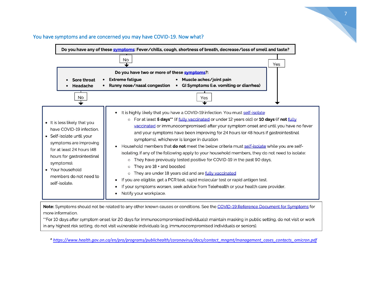

#### You have symptoms and are concerned you may have COVID-19. Now what?

Note: Symptoms should not be related to any other known causes or conditions. See the COVID-19 Reference Document for Symptoms for more information.

"For 10 days after symptom onset (or 20 days for immunocompromised individuals): maintain masking in public setting, do not visit or work in any highest risk setting, do not visit vulnerable individuals (e.g. immunocompromised individuals or seniors).

*\* [https://www.health.gov.on.ca/en/pro/programs/publichealth/coronavirus/docs/contact\\_mngmt/management\\_cases\\_contacts\\_omicron.pdf](https://www.health.gov.on.ca/en/pro/programs/publichealth/coronavirus/docs/contact_mngmt/management_cases_contacts_omicron.pdf)*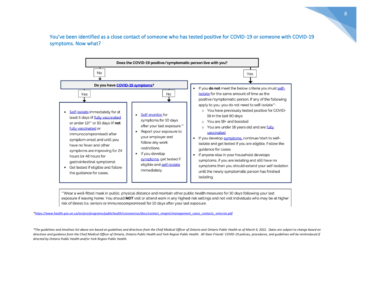You've been identified as a close contact of someone who has tested positive for COVID-19 or someone with COVID-19 symptoms. Now what?



"Wear a well-fitted mask in public, physical distance and maintain other public health measures for 10 days following your last exposure if leaving home. You should NOT visit or attend work in any highest risk settings and not visit individuals who may be at higher risk of illness (i.e. seniors or immunocompromised) for 10 days after your last exposure.

*[\\*https://www.health.gov.on.ca/en/pro/programs/publichealth/coronavirus/docs/contact\\_mngmt/management\\_cases\\_contacts\\_omicron.pdf](https://www.health.gov.on.ca/en/pro/programs/publichealth/coronavirus/docs/contact_mngmt/management_cases_contacts_omicron.pdf)*

*\*The guidelines and timelines list above are based on guidelines and directives from the Chief Medical Officer of Ontario and Ontario Public Health as of March 9, 2022. Dates are subject to change based on*  directives and guidance from the Chief Medical Officer of Ontario, Ontario Public Health and York Region Public Health. All Steer Friends' COVID-19 policies, procedures, and guidelines will be reintroduced if *directed by Ontario Public Health and/or York Region Public Health.*